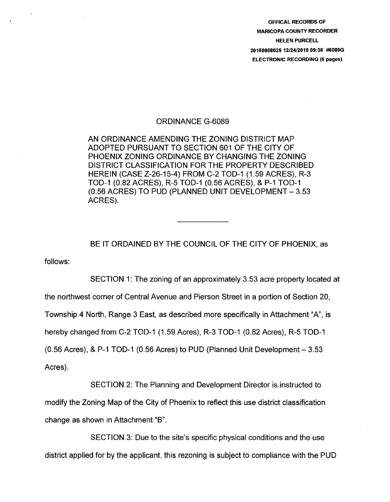OFFICAL RECORDS OF MARICOPA COUNTY RECORDER HELEN PURCELL 20150908025 12/2412015 09:36 #6089G ELECTRONIC RECORDING (6 pages)

## ORDINANCE G-6089

AN ORDINANCE AMENDING THE ZONING DISTRICT MAP ADOPTED PURSUANT TO SECTION 601 OF THE CITY OF PHOENIX ZONING ORDINANCE BY CHANGING THE ZONING DISTRICT CLASSIFICATION FOR THE PROPERTY DESCRIBED HEREIN (CASE Z-26-15-4) FROM C-2 TOD-1 (1.59 ACRES), R-3 TOD-1 (0.82 ACRES), R-5 TOD-1 (0.56 ACRES), & P-1 TOD-1 (0.56 ACRES) TO PUD (PLANNED UNIT DEVELOPMENT- 3.53 ACRES).

follows: BE IT ORDAINED BY THE COUNCIL OF THE CITY OF PHOENIX, as

SECTION 1: The zoning of an approximately 3.53 acre property located at the northwest corner of Central Avenue and Pierson Street in a portion of Section 20, Township 4 North, Range 3 East, as described more specifically in Attachment "A", is hereby changed from C-2 TOD-1 (1.59 Acres), R-3 TOD-1 (0.82 Acres), R-5 TOD-1 (0.56 Acres), & P-1 TOD-1 (0.56 Acres) to PUD (Planned Unit Development  $- 3.53$ Acres).

SECTION 2: The Planning and Development Director is instructed to modify the Zoning Map of the City of Phoenix to reflect this use district classification change as shown in Attachment "B".

SECTION 3: Due to the site's specific physical conditions and the use district applied for by the applicant, this rezoning is subject to compliance with the PUD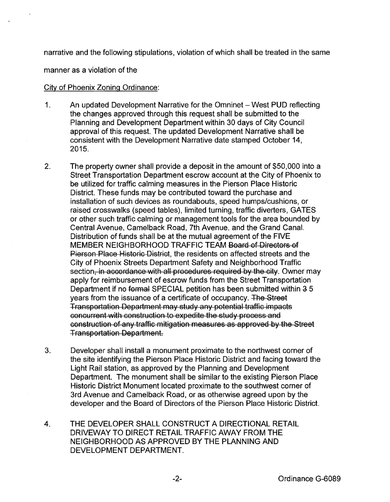narrative and the following stipulations, violation of which shall be treated in the same

manner as a violation of the

## City of Phoenix Zoning Ordinance:

- 1. An updated Development Narrative for the Omninet- West PUD reflecting the changes approved through this request shall be submitted to the Planning and Development Department within 30 days of City Council approval of this request. The updated Development Narrative shall be consistent with the Development Narrative date stamped October 14, 2015.
- 2. The property owner shall provide a deposit in the amount of \$50,000 into a Street Transportation Department escrow account at the City of Phoenix to be utilized for traffic calming measures in the Pierson Place Historic District. These funds may be contributed toward the purchase and installation of such devices as roundabouts, speed humps/cushions, or raised crosswalks (speed tables), limited turning, traffic diverters, GATES or other such traffic calming or management tools for the area bounded by Central Avenue, Camelback Road, 7th Avenue, and the Grand Canal. Distribution of funds shall be at the mutual agreement of the FIVE MEMBER NEIGHBORHOOD TRAFFIC TEAM Board of Directors of Pierson Place Historic District, the residents on affected streets and the City of Phoenix Streets Department Safety and Neighborhood Traffic section, in accordance with all procedures required by the city. Owner may apply for reimbursement of escrow funds from the Street Transportation Department if no formal SPECIAL petition has been submitted within 3 5 years from the issuance of a certificate of occupancy. The Street Transportation Department may study any potential traffic impacts concurrent with construction to expedite the study process and construction of any traffic mitigation measures as approved by the Street Transportation Department.
- 3. Developer shall install a monument proximate to the northwest corner of the site identifying the Pierson Place Historic District and facing toward the Light Rail station, as approved by the Planning and Development Department. The monument shall be similar to the existing Pierson Place Historic District Monument located proximate to the southwest corner of 3rd Avenue and Camelback Road, or as otherwise agreed upon by the developer and the Board of Directors of the Pierson Place Historic District.
- 4. THE DEVELOPER SHALL CONSTRUCT A DIRECTIONAL RETAIL DRIVEWAY TO DIRECT RETAIL TRAFFIC AWAY FROM THE NEIGHBORHOOD AS APPROVED BY THE PLANNING AND DEVELOPMENT DEPARTMENT.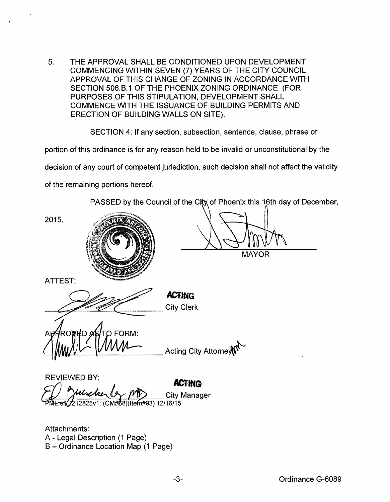5. THE APPROVAL SHALL BE CONDITIONED UPON DEVELOPMENT COMMENCING WITHIN SEVEN (7) YEARS OF THE CITY COUNCIL APPROVAL OF THIS CHANGE OF ZONING IN ACCORDANCE WITH SECTION 506.8.1 OF THE PHOENIX ZONING ORDINANCE. (FOR PURPOSES OF THIS STIPULATION, DEVELOPMENT SHALL COMMENCE WITH THE ISSUANCE OF BUILDING PERMITS AND ERECTION OF BUILDING WALLS ON SITE).

SECTION 4: If any section, subsection, sentence, clause, phrase or

portion of this ordinance is for any reason held to be invalid or unconstitutional by the

decision of any court of competent jurisdiction, such decision shall not affect the validity

of the remaining portions hereof.

PASSED by the Council of the City of Phoenix this 16th day of December,

2015.



**MAYOR** 

ATTEST:

**ACTING** City Clerk

FORM:

**Acting City Attorney** 

REVIEWED BY:  $\overline{A}$ CTINQ City Manager 2825v1: (CM#68)(Item#93) 12/16/15

Attachments: A- Legal Description (1 Page) B- Ordinance Location Map (1 Page)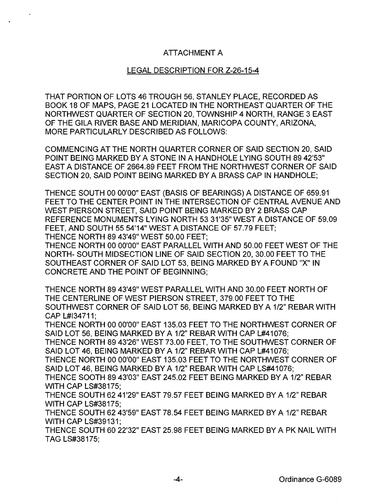## ATTACHMENT A

## LEGAL DESCRIPTION FOR Z-26-15-4

THAT PORTION OF LOTS 46 TROUGH 56, STANLEY PLACE, RECORDED AS BOOK 18 OF MAPS, PAGE 21 LOCATED IN THE NORTHEAST QUARTER OF THE NORTHWEST QUARTER OF SECTION 20, TOWNSHIP 4 NORTH, RANGE 3 EAST OF THE GILA RIVER BASE AND MERIDIAN, MARICOPA COUNTY, ARIZONA, MORE PARTICULARLY DESCRIBED AS FOLLOWS:

COMMENCING AT THE NORTH QUARTER CORNER OF SAID SECTION 20, SAID POINT BEING MARKED BY A STONE IN A HANDHOLE LYING SOUTH 89 42'53" EAST A DISTANCE OF 2664.89 FEET FROM THE NORTHWEST CORNER OF SAID SECTION 20, SAID POINT BEING MARKED BY A BRASS CAP IN HANDHOLE;

THENCE SOUTH 00 00'00" EAST (BASIS OF BEARINGS) A DISTANCE OF 659.91 FEET TO THE CENTER POINT IN THE INTERSECTION OF CENTRAL AVENUE AND WEST PIERSON STREET, SAID POINT BEING MARKED BY 2 BRASS CAP REFERENCE MONUMENTS LYING NORTH 53 31'35"WEST A DISTANCE OF 59.09 FEET, AND SOUTH 55 54'14" WEST A DISTANCE OF 57.79 FEET; THENCE NORTH 89 43'49" WEST 50.00 FEET;

THENCE NORTH 00 00'00" EAST PARALLEL WITH AND 50.00 FEET WEST OF THE NORTH- SOUTH MIDSECTION LINE OF SAID SECTION 20, 30.00 FEET TO THE SOUTHEAST CORNER OF SAID LOT 53, BEING MARKED BY A FOUND "X" IN CONCRETE AND THE POINT OF BEGINNING;

THENCE NORTH 89 43'49" WEST PARALLEL WITH AND 30.00 FEET NORTH OF THE CENTERLINE OF WEST PIERSON STREET, 379.00 FEET TO THE SOUTHWEST CORNER OF SAID LOT 56, BEING MARKED BY A 1/2" REBAR WITH CAP L#l34711;

THENCE NORTH 00 00'00" EAST 135.03 FEET TO THE NORTHWEST CORNER OF SAID LOT 56, BEING MARKED BY A 1/2" REBAR WITH CAP L#41076:

THENCE NORTH 89 43'26" WEST 73.00 FEET, TO THE SOUTHWEST CORNER OF SAID LOT 46, BEING MARKED BY A 1/2" REBAR WITH CAP L#41076;

THENCE NORTH 00 00'00" EAST 135.03 FEET TO THE NORTHWEST CORNER OF SAID LOT 46, BEING MARKED BY A 1/2" REBAR WITH CAP LS#41076;

THENCE SOOTH 89 43'03" EAST 245.02 FEET BEING MARKED BY A 1/2" REBAR WITH CAP LS#38175;

THENCE SOUTH 62 41'29" EAST 79.57 FEET BEING MARKED BY A 1/2" REBAR WITH CAP LS#38175;

THENCE SOUTH 62 43'59" EAST 78.54 FEET BEING MARKED BY A 1/2" REBAR WITH CAP LS#39131;

THENCE SOUTH 60 22'32" EAST 25.98 FEET BEING MARKED BY A PK NAIL WITH TAG LS#38175;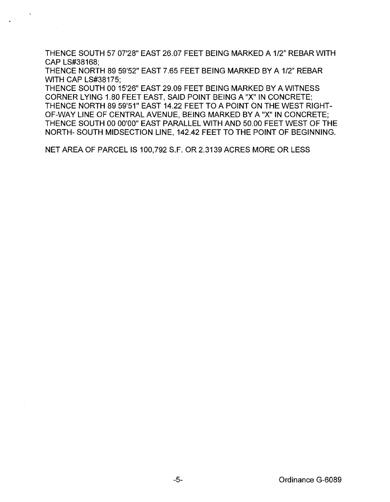THENCE SOUTH 57 07'28" EAST 26.07 FEET BEING MARKED A 1/2" REBAR WITH CAP LS#38168;

THENCE NORTH 89 59'52" EAST 7.65 FEET BEING MARKED BY A 1/2" REBAR WITH CAP LS#38175;

THENCE SOUTH 00 15'26" EAST 29.09 FEET BEING MARKED BY A WITNESS CORNER LYING 1.80 FEET EAST, SAID POINT BEING A "X" IN CONCRETE; THENCE NORTH 89 59'51" EAST 14.22 FEET TO A POINT ON THE WEST RIGHT-OF-WAY LINE OF CENTRAL AVENUE, BEING MARKED BY A "X" IN CONCRETE; THENCE SOUTH 00 00'00" EAST PARALLEL WITH AND 50.00 FEET WEST OF THE NORTH- SOUTH MIDSECTION LINE, 142.42 FEET TO THE POINT OF BEGINNING.

NET AREA OF PARCEL IS 100,792 S.F. OR 2.3139 ACRES MORE OR LESS